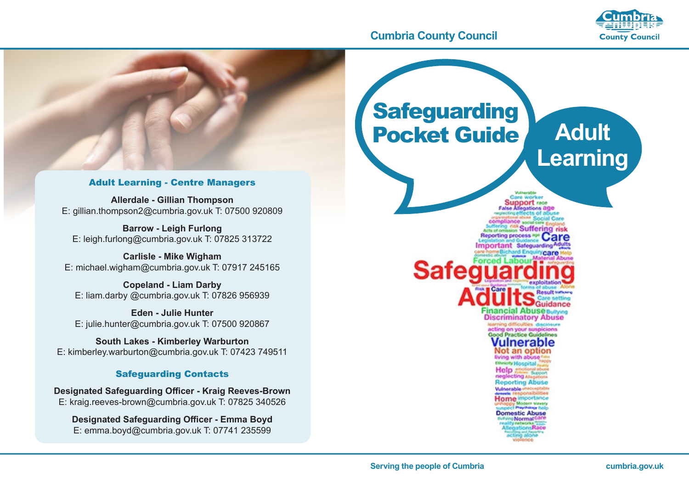#### **Cumbria County Council**



# **Safeguarding** Pocket Guide **Adult Learning**Adult Learning - Centre Managers **Allerdale - Gillian Thompson** E: gillian.thompson2@cumbria.gov.uk T: 07500 920809 E: leigh.furlong@cumbria.gov.uk T: 07825 313722 **Safe** ot an oo ing with ab-*<u>Multiparabile</u>* Home in **Domestic Abuse** Morma

#### **Barrow - Leigh Furlong**

**Carlisle - Mike Wigham**

E: michael.wigham@cumbria.gov.uk T: 07917 245165

**Copeland - Liam Darby** E: liam.darby @cumbria.gov.uk T: 07826 956939

**Eden - Julie Hunter** E: julie.hunter@cumbria.gov.uk T: 07500 920867

**South Lakes - Kimberley Warburton** E: kimberley.warburton@cumbria.gov.uk T: 07423 749511

#### Safeguarding Contacts

**Designated Safeguarding Officer - Kraig Reeves-Brown** E: kraig.reeves-brown@cumbria.gov.uk T: 07825 340526

**Designated Safeguarding Officer - Emma Boyd** E: emma.boyd@cumbria.gov.uk T: 07741 235599